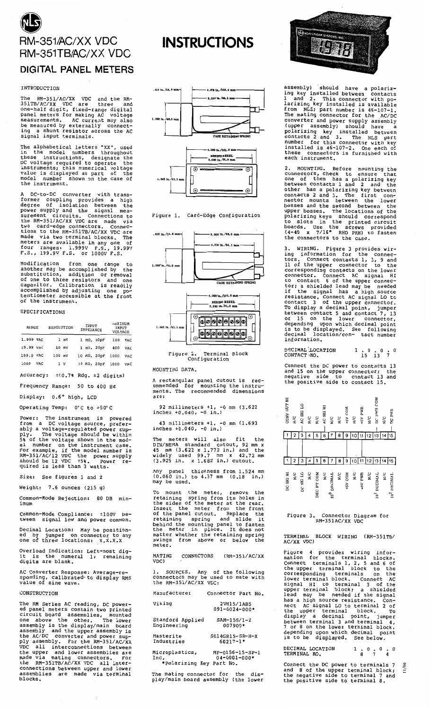

## **DIGITAL PANEL METERS**

#### **INTRODUCTION**

The RM-351/AC/XX VDC and the RM-351TB/AC/XX VDC are three and<br>one-half digit, fixed-range digital<br>panel meters for making AC voltage<br>measurements. AC current may also<br>be measurements. AC current may also<br>be measured by ext signal input terminals.

The alphabetical letters "XX" used in the model numbers "xx", used<br>in the model numbers throughout<br>these instructions, designate the<br>DC voltage required to operate the<br>instruments; this numerical voltage<br>walue is displayed as part of the<br>model number shown the instrument.

A DC-to-DC converter with trans-<br>former coupling provides a high<br>degree of isolation between the<br>power supply and the signal mea-<br>surement circuits. Connections to<br>the RM-351/AC/XX VDC are made via<br>two card-edge connectors

 $from$ range Modification ODP Modification from one range to<br>another may be accomplished by the<br>substitution, addition or removal<br>of one to three resistors and one<br>capacitor. Calibration is readily<br>accomplished by adjusting one po-<br>tentiometer accessib of the instrument.

## SPECIFICATIONS

| RANGE     |     | RESOLUTION |       | INPUT<br>IMPEDANCE |                                    | <b>MAXIMUM</b><br>INPUT<br>VOLTAGE |            |  |
|-----------|-----|------------|-------|--------------------|------------------------------------|------------------------------------|------------|--|
| 1.999 VAC |     |            | l mV  |                    | $1$ $M\Omega$ , $20$ <sub>PF</sub> | 100                                | VAC        |  |
| 19.99 VAC |     |            | 10 mV |                    | $1$ M $\Omega$ , 20pF              | 400                                | VAC        |  |
| 199.9 VAC |     | $100$ mV   |       |                    | 10 ΜΩ, 20pF                        | 1000                               | <b>VAC</b> |  |
| 1000      | VAC |            | ı v   |                    | 10 MΩ, 20pF                        | 1000                               | <b>VAC</b> |  |

Accuracy:  $\pm(0.78 \text{ Rdg. } \pm 2 \text{ digits})$ 

Frequency Range: 50 to 400 Hz

Display: 0.6" high, LCD

Operating Temp: 0°C to +50°C

Power: The instrument is powered<br>from a DC voltage source, preferfrom from a DC voltage source, prefer-<br>ably a voltage-regulated power sup-<br>ply. The voltage should be within<br>5% of the voltage shown in the mod-<br>el number on the instrument case.<br>For example, if the model number is<br>RM-351/AC/12

Size: See figures 1 and 2

Weight:  $7.6$  ounces  $(215 g)$ 

Common-Mode Rejection: 80 DB min-<br>imum

Common-Mode Compliance: =100V be-<br>tween signal low and power common.

Decimal Location: May be position-<br>ed by jumper on connector to any<br>one of three locations: X.X.X.X

Overload Indication: Left-most dig-<br>it is the numeral 1; remaining<br>digits are blank.

AC Converter Response: Average-re-<br>sponding, calibrated to display RMS<br>value of sine wave.

### CONSTRUCTION

The RM Series AC reading, DC power-<br>the AM eries AC reading, DC power-<br>ed panel meters contain two printed<br>circuit board assemblies, mounted<br>one above the other. The lower<br>assembly is the display/main board<br>the AC/DC conve assemblies<br>blocks.



**INSTRUCTIONS** 







Figure 2. Terminal<br>Configuration Terminal Block

#### MOUNTING DATA.

A rectangular panel cutout is rec-<br>ommended for mounting the instru-<br>ments. The recommended dimensions

92 millimeters  $+1$ , -0 mm (3.622 inches  $+0.040$ , -0 in.)

43 millimeters +1, -0 mm (1.693 inches +0.040, -0 in.)

The meters will also fit the DIN/NEMA standard cutout, 92 mm<br>45 mm  $(3.622 \times 1.772 \text{ in.})$  and the widely used 99.7 mm  $\times$  42.72 m<br> $(3.925 \text{ in.} \times 1.682 \text{ in.})$  cutout. the the

Any panel thickness from 1.524 mm<br>(0.060 in.) to 4.57 mm (0.18 in.)<br>may be used.

may be used.<br>To mount the meter, remove the<br>retaining spring from its holes in<br>the sides of the meter at the rear.<br>Insert the meter from the front<br>of the panel cutout. Replace the<br>retaining spring and slide it<br>behind the m swings from above<br>meter.

MATING CONNECTORS (RM-351/AC/XX VDC)

1. SOURCES. Any of the following<br>connectors may be used to mate with<br>the RM-351/AC/XX VDC:

| Manufacturer                                       | Connector Part No.                    |
|----------------------------------------------------|---------------------------------------|
| Viking                                             | 2VH15/1AB5<br>$091 - 0024 - 000*$     |
| Stanford Applied<br>Engineering                    | $SAM-15S/I-2$<br>007900*              |
| Masterite<br>Industries                            | $SO14$ GR $15-$ SR $-H-X$<br>60217-1* |
| Microplastics,<br>Inc.<br>*Polarizing Key Part No. | MP-0156-15-SP-1<br>$04 - 0001 - 000*$ |

The mating connector for the dis-<br>play/main board assembly (the lower



assembly) should have a polariz-<br>ing key installed between contacts<br>land 2. This connector with po-<br>larizing key installed is available<br>larizing key installed is available<br>from NLS; part number is  $46-107-1$ .<br>The mating c

2. MOUNTING. Before mounting the<br>connectors, check to ensure that<br>one of them has a polarizing key<br>between contacts 1 and 2 and the<br>other has a polarizing key between<br>contacts 2 and 3. The first con-<br>nector mounts between upper bosses. The locations of the<br>polarizing keys should correspond<br>to slots in the printed circuit<br>boards. Use the screws provided<br>(4-40 x 7/16" RHD PHH) to fasten<br>the connectors to the case.

3. WIRING. Figure 3 provides wir-<br>ing information for the connec-<br>tors. Connect contacts 1, 3, 9 and<br>11 of the upper connector to the<br>corresponding contacts on the lower<br>connector. Connect AC signal HI<br>to contact 6 of the Figure 3 provides wir-<br>tion for the connec-WIRING. information.

DECIMAL LOCATION<br>CONTACT NO.  $\frac{1}{15}$   $\frac{0}{13}$   $\frac{0}{7}$   $\frac{0}{7}$ 

Connect the DC power to contacts 13<br>and 15 on the upper connector; the<br>negative side to contact 13 and<br>the positive side to contact 15.

| CONV OUT HI | $\frac{1}{2}$    | AC SIG LO | $\frac{C}{R}$ | N/C        | AC SIG HI        | $_{\rm N_C}$            | $\frac{C}{R}$ | +5V COM        | $_{\rm N_C}^{\rm C}$ | F5V PWR | $_{\rm N}^{\rm C}$ | DC PWR COM                 | $\frac{C}{2}$      | DC PWR                  |
|-------------|------------------|-----------|---------------|------------|------------------|-------------------------|---------------|----------------|----------------------|---------|--------------------|----------------------------|--------------------|-------------------------|
|             |                  | 3         |               | 5          | 6                |                         | 8             | 9              |                      |         | 12                 | 13                         | 14                 | 15                      |
|             |                  |           |               |            |                  |                         |               |                |                      |         |                    |                            |                    |                         |
|             |                  | 3         |               |            | 8                |                         | 8             | 9              |                      |         | 12 13              |                            |                    | 15                      |
| DC SIG HI   | $\sum_{i=1}^{n}$ | DC SIG LO | $\frac{1}{2}$ | DEC PT COM | $\sum_{i=1}^{n}$ | 10 <sup>0</sup> DECIMAL | $\frac{1}{2}$ | <b>HOD AS+</b> | $_{\rm N/C}$         | HAA hMB | $_{\rm N/C}$       | <b>DECIMAL</b><br>$10^{1}$ | $_{\rm N}^{\rm C}$ | 10 <sup>2</sup> DECIMAL |

# Figure 3. Connector Diagram for<br>RM-351AC/XX VDC

TERMINAL BLOCK WIRING (RM-351TB/<br>AC/XX VDC)

AC/AX VDC/<br>Figure 4 provides wiring infor-<br>mation for the terminal blocks.<br>Connect terminals 1, 2, 5 and 6 of<br>the upper terminal block to the<br>corresponding terminals on the<br>lower terminal block. Connect AC<br>signal HI to ter

DECIMAL LOCATION<br>TERMINAL NO.  $\frac{1}{8}$   $\frac{0}{7}$   $\frac{0}{4}$   $\frac{0}{1}$ 

Connect the DC power to terminals 7<br>and 8 of the upper terminal block;<br>the negative side to terminal 7 and<br>the positive side to terminal 8.  $and$